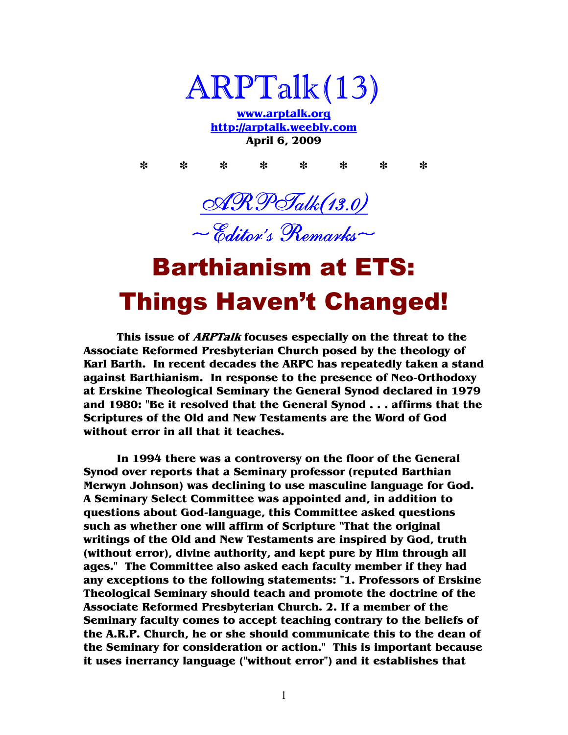

**www.arptalk.org http://arptalk.weebly.com April 6, 2009** 

**\* \* \* \* \* \* \* \*** 





## Barthianism at ETS: Things Haven't Changed!

**This issue of ARPTalk focuses especially on the threat to the Associate Reformed Presbyterian Church posed by the theology of Karl Barth. In recent decades the ARPC has repeatedly taken a stand against Barthianism. In response to the presence of Neo-Orthodoxy at Erskine Theological Seminary the General Synod declared in 1979 and 1980: "Be it resolved that the General Synod . . . affirms that the Scriptures of the Old and New Testaments are the Word of God without error in all that it teaches.** 

**In 1994 there was a controversy on the floor of the General Synod over reports that a Seminary professor (reputed Barthian Merwyn Johnson) was declining to use masculine language for God. A Seminary Select Committee was appointed and, in addition to questions about God-language, this Committee asked questions such as whether one will affirm of Scripture "That the original writings of the Old and New Testaments are inspired by God, truth (without error), divine authority, and kept pure by Him through all ages." The Committee also asked each faculty member if they had any exceptions to the following statements: "1. Professors of Erskine Theological Seminary should teach and promote the doctrine of the Associate Reformed Presbyterian Church. 2. If a member of the Seminary faculty comes to accept teaching contrary to the beliefs of the A.R.P. Church, he or she should communicate this to the dean of the Seminary for consideration or action." This is important because it uses inerrancy language ("without error") and it establishes that**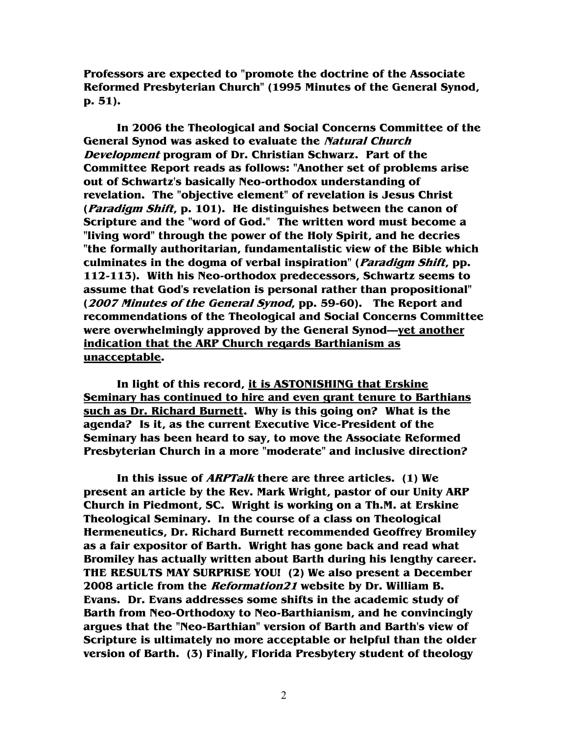**Professors are expected to "promote the doctrine of the Associate Reformed Presbyterian Church" (1995 Minutes of the General Synod, p. 51).** 

**In 2006 the Theological and Social Concerns Committee of the General Synod was asked to evaluate the Natural Church Development program of Dr. Christian Schwarz. Part of the Committee Report reads as follows: "Another set of problems arise out of Schwartz's basically Neo-orthodox understanding of revelation. The "objective element" of revelation is Jesus Christ (Paradigm Shift, p. 101). He distinguishes between the canon of Scripture and the "word of God." The written word must become a "living word" through the power of the Holy Spirit, and he decries "the formally authoritarian, fundamentalistic view of the Bible which culminates in the dogma of verbal inspiration" (Paradigm Shift, pp. 112-113). With his Neo-orthodox predecessors, Schwartz seems to assume that God's revelation is personal rather than propositional" (2007 Minutes of the General Synod, pp. 59-60). The Report and recommendations of the Theological and Social Concerns Committee were overwhelmingly approved by the General Synod—yet another indication that the ARP Church regards Barthianism as unacceptable.** 

**In light of this record, it is ASTONISHING that Erskine Seminary has continued to hire and even grant tenure to Barthians such as Dr. Richard Burnett. Why is this going on? What is the agenda? Is it, as the current Executive Vice-President of the Seminary has been heard to say, to move the Associate Reformed Presbyterian Church in a more "moderate" and inclusive direction?** 

**In this issue of ARPTalk there are three articles. (1) We present an article by the Rev. Mark Wright, pastor of our Unity ARP Church in Piedmont, SC. Wright is working on a Th.M. at Erskine Theological Seminary. In the course of a class on Theological Hermeneutics, Dr. Richard Burnett recommended Geoffrey Bromiley as a fair expositor of Barth. Wright has gone back and read what Bromiley has actually written about Barth during his lengthy career. THE RESULTS MAY SURPRISE YOU! (2) We also present a December 2008 article from the Reformation21 website by Dr. William B. Evans. Dr. Evans addresses some shifts in the academic study of Barth from Neo-Orthodoxy to Neo-Barthianism, and he convincingly argues that the "Neo-Barthian" version of Barth and Barth's view of Scripture is ultimately no more acceptable or helpful than the older version of Barth. (3) Finally, Florida Presbytery student of theology** 

2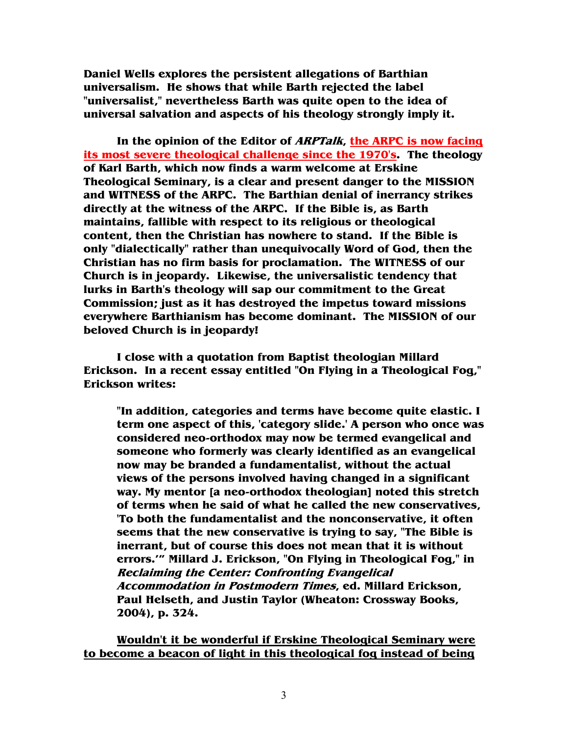**Daniel Wells explores the persistent allegations of Barthian universalism. He shows that while Barth rejected the label "universalist," nevertheless Barth was quite open to the idea of universal salvation and aspects of his theology strongly imply it.** 

**In the opinion of the Editor of ARPTalk, the ARPC is now facing its most severe theological challenge since the 1970's. The theology of Karl Barth, which now finds a warm welcome at Erskine Theological Seminary, is a clear and present danger to the MISSION and WITNESS of the ARPC. The Barthian denial of inerrancy strikes directly at the witness of the ARPC. If the Bible is, as Barth maintains, fallible with respect to its religious or theological content, then the Christian has nowhere to stand. If the Bible is only "dialectically" rather than unequivocally Word of God, then the Christian has no firm basis for proclamation. The WITNESS of our Church is in jeopardy. Likewise, the universalistic tendency that lurks in Barth's theology will sap our commitment to the Great Commission; just as it has destroyed the impetus toward missions everywhere Barthianism has become dominant. The MISSION of our beloved Church is in jeopardy!** 

**I close with a quotation from Baptist theologian Millard Erickson. In a recent essay entitled "On Flying in a Theological Fog," Erickson writes:** 

**"In addition, categories and terms have become quite elastic. I term one aspect of this, 'category slide.' A person who once was considered neo-orthodox may now be termed evangelical and someone who formerly was clearly identified as an evangelical now may be branded a fundamentalist, without the actual views of the persons involved having changed in a significant way. My mentor [a neo-orthodox theologian] noted this stretch of terms when he said of what he called the new conservatives, 'To both the fundamentalist and the nonconservative, it often seems that the new conservative is trying to say, "The Bible is inerrant, but of course this does not mean that it is without errors.'" Millard J. Erickson, "On Flying in Theological Fog," in Reclaiming the Center: Confronting Evangelical Accommodation in Postmodern Times, ed. Millard Erickson, Paul Helseth, and Justin Taylor (Wheaton: Crossway Books, 2004), p. 324.** 

**Wouldn't it be wonderful if Erskine Theological Seminary were to become a beacon of light in this theological fog instead of being**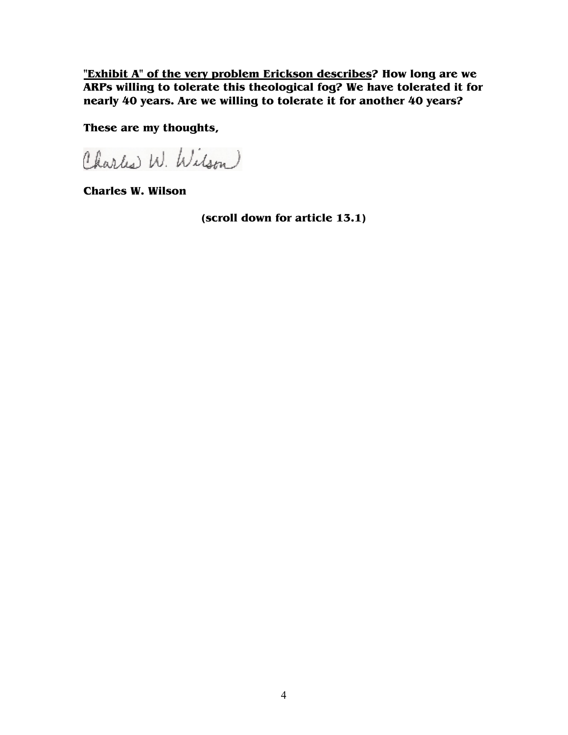**"Exhibit A" of the very problem Erickson describes? How long are we ARPs willing to tolerate this theological fog? We have tolerated it for nearly 40 years. Are we willing to tolerate it for another 40 years?** 

**These are my thoughts,** 

Charles W. Wilson

**Charles W. Wilson** 

**(scroll down for article 13.1)**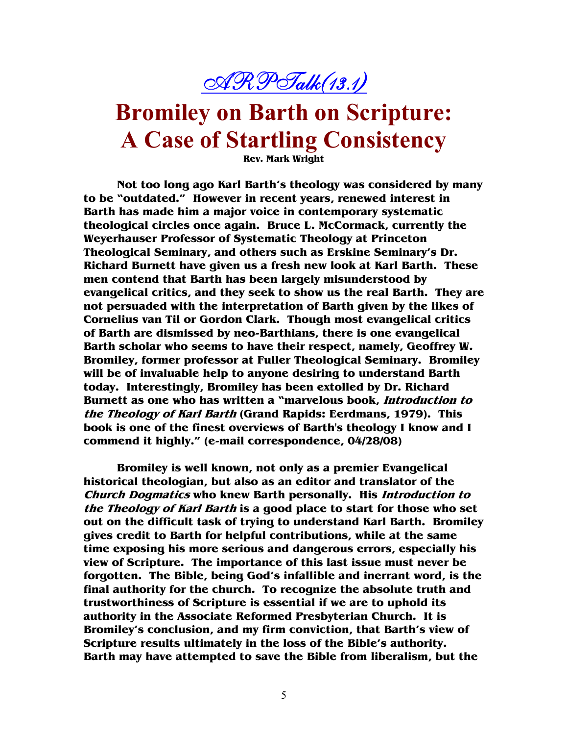

### **Bromiley on Barth on Scripture: A Case of Startling Consistency**

**Rev. Mark Wright** 

**Not too long ago Karl Barth's theology was considered by many to be "outdated." However in recent years, renewed interest in Barth has made him a major voice in contemporary systematic theological circles once again. Bruce L. McCormack, currently the Weyerhauser Professor of Systematic Theology at Princeton Theological Seminary, and others such as Erskine Seminary's Dr. Richard Burnett have given us a fresh new look at Karl Barth. These men contend that Barth has been largely misunderstood by evangelical critics, and they seek to show us the real Barth. They are not persuaded with the interpretation of Barth given by the likes of Cornelius van Til or Gordon Clark. Though most evangelical critics of Barth are dismissed by neo-Barthians, there is one evangelical Barth scholar who seems to have their respect, namely, Geoffrey W. Bromiley, former professor at Fuller Theological Seminary. Bromiley will be of invaluable help to anyone desiring to understand Barth today. Interestingly, Bromiley has been extolled by Dr. Richard Burnett as one who has written a "marvelous book, Introduction to the Theology of Karl Barth (Grand Rapids: Eerdmans, 1979). This book is one of the finest overviews of Barth's theology I know and I commend it highly." (e-mail correspondence, 04/28/08)** 

**Bromiley is well known, not only as a premier Evangelical historical theologian, but also as an editor and translator of the Church Dogmatics who knew Barth personally. His Introduction to the Theology of Karl Barth is a good place to start for those who set out on the difficult task of trying to understand Karl Barth. Bromiley gives credit to Barth for helpful contributions, while at the same time exposing his more serious and dangerous errors, especially his view of Scripture. The importance of this last issue must never be forgotten. The Bible, being God's infallible and inerrant word, is the final authority for the church. To recognize the absolute truth and trustworthiness of Scripture is essential if we are to uphold its authority in the Associate Reformed Presbyterian Church. It is Bromiley's conclusion, and my firm conviction, that Barth's view of Scripture results ultimately in the loss of the Bible's authority. Barth may have attempted to save the Bible from liberalism, but the**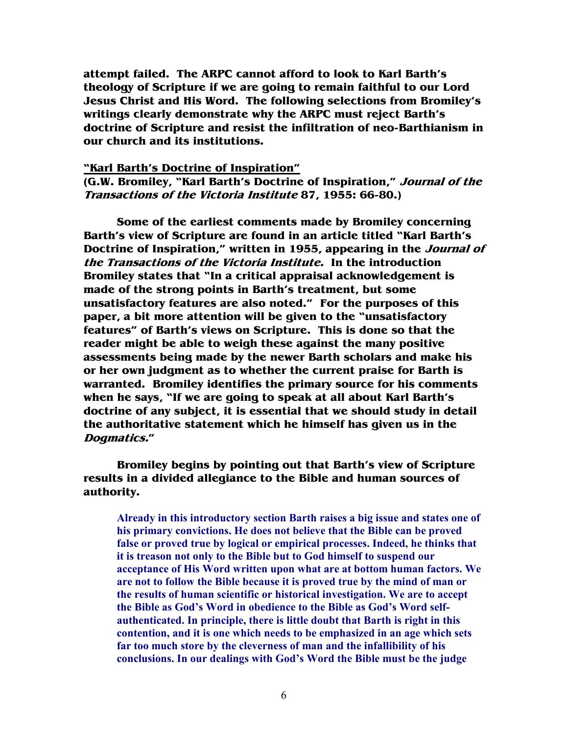**attempt failed. The ARPC cannot afford to look to Karl Barth's theology of Scripture if we are going to remain faithful to our Lord Jesus Christ and His Word. The following selections from Bromiley's writings clearly demonstrate why the ARPC must reject Barth's doctrine of Scripture and resist the infiltration of neo-Barthianism in our church and its institutions.** 

#### **"Karl Barth's Doctrine of Inspiration"**

**(G.W. Bromiley, "Karl Barth's Doctrine of Inspiration," Journal of the Transactions of the Victoria Institute 87, 1955: 66-80.)** 

**Some of the earliest comments made by Bromiley concerning Barth's view of Scripture are found in an article titled "Karl Barth's Doctrine of Inspiration," written in 1955, appearing in the Journal of the Transactions of the Victoria Institute. In the introduction Bromiley states that "In a critical appraisal acknowledgement is made of the strong points in Barth's treatment, but some unsatisfactory features are also noted." For the purposes of this paper, a bit more attention will be given to the "unsatisfactory features" of Barth's views on Scripture. This is done so that the reader might be able to weigh these against the many positive assessments being made by the newer Barth scholars and make his or her own judgment as to whether the current praise for Barth is warranted. Bromiley identifies the primary source for his comments when he says, "If we are going to speak at all about Karl Barth's doctrine of any subject, it is essential that we should study in detail the authoritative statement which he himself has given us in the Dogmatics."** 

**Bromiley begins by pointing out that Barth's view of Scripture results in a divided allegiance to the Bible and human sources of authority.**

**Already in this introductory section Barth raises a big issue and states one of his primary convictions. He does not believe that the Bible can be proved false or proved true by logical or empirical processes. Indeed, he thinks that it is treason not only to the Bible but to God himself to suspend our acceptance of His Word written upon what are at bottom human factors. We are not to follow the Bible because it is proved true by the mind of man or the results of human scientific or historical investigation. We are to accept the Bible as God's Word in obedience to the Bible as God's Word selfauthenticated. In principle, there is little doubt that Barth is right in this contention, and it is one which needs to be emphasized in an age which sets far too much store by the cleverness of man and the infallibility of his conclusions. In our dealings with God's Word the Bible must be the judge**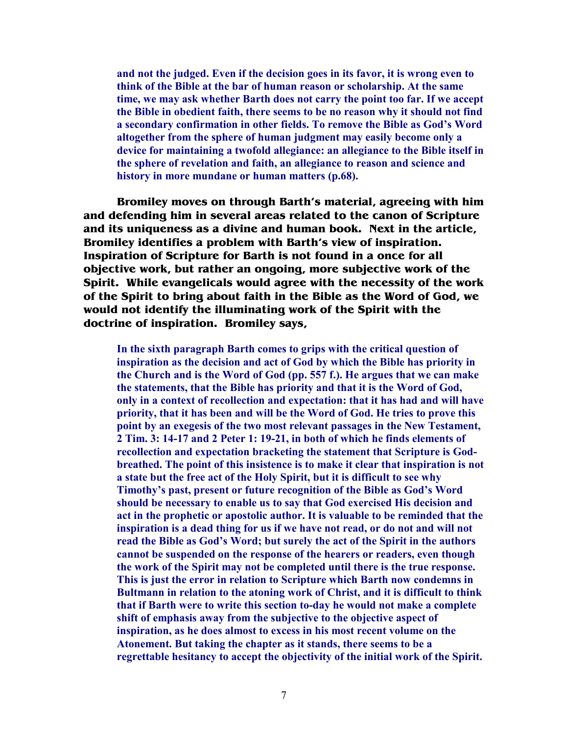**and not the judged. Even if the decision goes in its favor, it is wrong even to think of the Bible at the bar of human reason or scholarship. At the same time, we may ask whether Barth does not carry the point too far. If we accept the Bible in obedient faith, there seems to be no reason why it should not find a secondary confirmation in other fields. To remove the Bible as God's Word altogether from the sphere of human judgment may easily become only a device for maintaining a twofold allegiance: an allegiance to the Bible itself in the sphere of revelation and faith, an allegiance to reason and science and history in more mundane or human matters (p.68).** 

**Bromiley moves on through Barth's material, agreeing with him and defending him in several areas related to the canon of Scripture and its uniqueness as a divine and human book. Next in the article, Bromiley identifies a problem with Barth's view of inspiration. Inspiration of Scripture for Barth is not found in a once for all objective work, but rather an ongoing, more subjective work of the Spirit. While evangelicals would agree with the necessity of the work of the Spirit to bring about faith in the Bible as the Word of God, we would not identify the illuminating work of the Spirit with the doctrine of inspiration. Bromiley says,** 

**In the sixth paragraph Barth comes to grips with the critical question of inspiration as the decision and act of God by which the Bible has priority in the Church and is the Word of God (pp. 557 f.). He argues that we can make the statements, that the Bible has priority and that it is the Word of God, only in a context of recollection and expectation: that it has had and will have priority, that it has been and will be the Word of God. He tries to prove this**  point by an exegesis of the two most relevant passages in the New Testament, **2 Tim. 3: 14-17 and 2 Peter 1: 19-21, in both of which he finds elements of recollection and expectation bracketing the statement that Scripture is Godbreathed. The point of this insistence is to make it clear that inspiration is not a state but the free act of the Holy Spirit, but it is difficult to see why Timothy's past, present or future recognition of the Bible as God's Word should be necessary to enable us to say that God exercised His decision and act in the prophetic or apostolic author. It is valuable to be reminded that the inspiration is a dead thing for us if we have not read, or do not and will not read the Bible as God's Word; but surely the act of the Spirit in the authors cannot be suspended on the response of the hearers or readers, even though the work of the Spirit may not be completed until there is the true response. This is just the error in relation to Scripture which Barth now condemns in Bultmann in relation to the atoning work of Christ, and it is difficult to think that if Barth were to write this section to-day he would not make a complete shift of emphasis away from the subjective to the objective aspect of inspiration, as he does almost to excess in his most recent volume on the Atonement. But taking the chapter as it stands, there seems to be a regrettable hesitancy to accept the objectivity of the initial work of the Spirit.**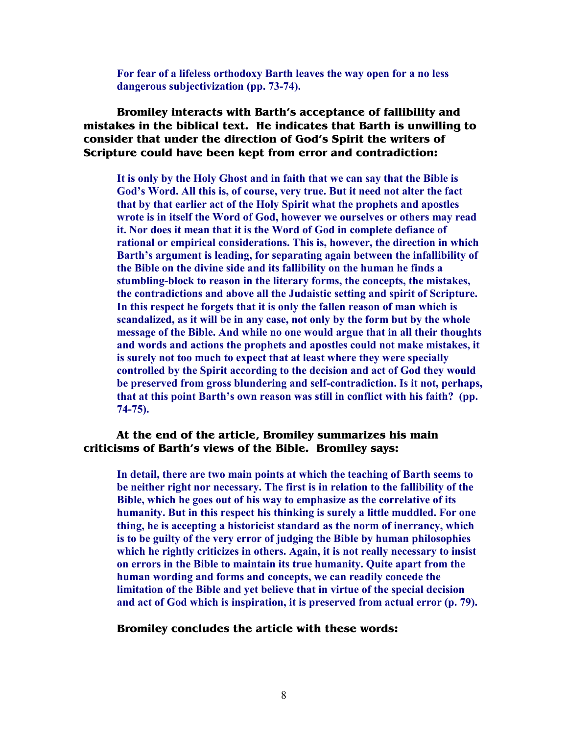**For fear of a lifeless orthodoxy Barth leaves the way open for a no less dangerous subjectivization (pp. 73-74).** 

**Bromiley interacts with Barth's acceptance of fallibility and mistakes in the biblical text. He indicates that Barth is unwilling to consider that under the direction of God's Spirit the writers of Scripture could have been kept from error and contradiction:** 

**It is only by the Holy Ghost and in faith that we can say that the Bible is God's Word. All this is, of course, very true. But it need not alter the fact that by that earlier act of the Holy Spirit what the prophets and apostles wrote is in itself the Word of God, however we ourselves or others may read it. 1or does it mean that it is the Word of God in complete defiance of rational or empirical considerations. This is, however, the direction in which Barth's argument is leading, for separating again between the infallibility of the Bible on the divine side and its fallibility on the human he finds a stumbling-block to reason in the literary forms, the concepts, the mistakes, the contradictions and above all the Judaistic setting and spirit of Scripture. In this respect he forgets that it is only the fallen reason of man which is scandalized, as it will be in any case, not only by the form but by the whole message of the Bible. And while no one would argue that in all their thoughts and words and actions the prophets and apostles could not make mistakes, it is surely not too much to expect that at least where they were specially controlled by the Spirit according to the decision and act of God they would be preserved from gross blundering and self-contradiction. Is it not, perhaps, that at this point Barth's own reason was still in conflict with his faith? (pp. 74-75).** 

#### **At the end of the article, Bromiley summarizes his main criticisms of Barth's views of the Bible. Bromiley says:**

**In detail, there are two main points at which the teaching of Barth seems to be neither right nor necessary. The first is in relation to the fallibility of the Bible, which he goes out of his way to emphasize as the correlative of its humanity. But in this respect his thinking is surely a little muddled. For one thing, he is accepting a historicist standard as the norm of inerrancy, which is to be guilty of the very error of judging the Bible by human philosophies which he rightly criticizes in others. Again, it is not really necessary to insist on errors in the Bible to maintain its true humanity. Quite apart from the human wording and forms and concepts, we can readily concede the limitation of the Bible and yet believe that in virtue of the special decision and act of God which is inspiration, it is preserved from actual error (p. 79).** 

#### **Bromiley concludes the article with these words:**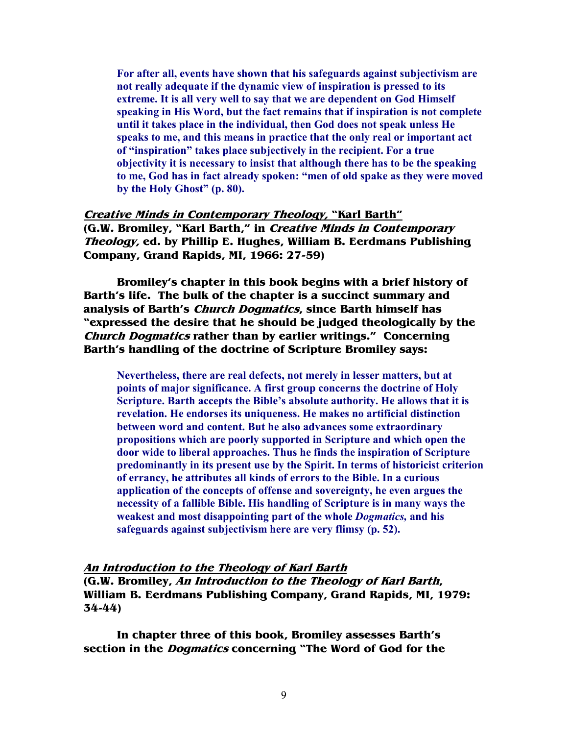**For after all, events have shown that his safeguards against subjectivism are not really adequate if the dynamic view of inspiration is pressed to its extreme. It is all very well to say that we are dependent on God Himself speaking in His Word, but the fact remains that if inspiration is not complete until it takes place in the individual, then God does not speak unless He speaks to me, and this means in practice that the only real or important act of "inspiration" takes place subjectively in the recipient. For a true objectivity it is necessary to insist that although there has to be the speaking to me, God has in fact already spoken: "men of old spake as they were moved by the Holy Ghost" (p. 80).** 

#### **Creative Minds in Contemporary Theology, "Karl Barth" (G.W. Bromiley, "Karl Barth," in Creative Minds in Contemporary Theology, ed. by Phillip E. Hughes, William B. Eerdmans Publishing Company, Grand Rapids, MI, 1966: 27-59)**

**Bromiley's chapter in this book begins with a brief history of Barth's life. The bulk of the chapter is a succinct summary and analysis of Barth's Church Dogmatics, since Barth himself has "expressed the desire that he should be judged theologically by the Church Dogmatics rather than by earlier writings." Concerning Barth's handling of the doctrine of Scripture Bromiley says:** 

Nevertheless, there are real defects, not merely in lesser matters, but at **points of major significance. A first group concerns the doctrine of Holy Scripture. Barth accepts the Bible's absolute authority. He allows that it is revelation. He endorses its uniqueness. He makes no artificial distinction between word and content. But he also advances some extraordinary propositions which are poorly supported in Scripture and which open the door wide to liberal approaches. Thus he finds the inspiration of Scripture predominantly in its present use by the Spirit. In terms of historicist criterion of errancy, he attributes all kinds of errors to the Bible. In a curious application of the concepts of offense and sovereignty, he even argues the necessity of a fallible Bible. His handling of Scripture is in many ways the weakest and most disappointing part of the whole** *Dogmatics,* **and his safeguards against subjectivism here are very flimsy (p. 52).** 

#### **An Introduction to the Theology of Karl Barth**

**(G.W. Bromiley, An Introduction to the Theology of Karl Barth, William B. Eerdmans Publishing Company, Grand Rapids, MI, 1979: 34-44)** 

**In chapter three of this book, Bromiley assesses Barth's section in the Dogmatics concerning "The Word of God for the**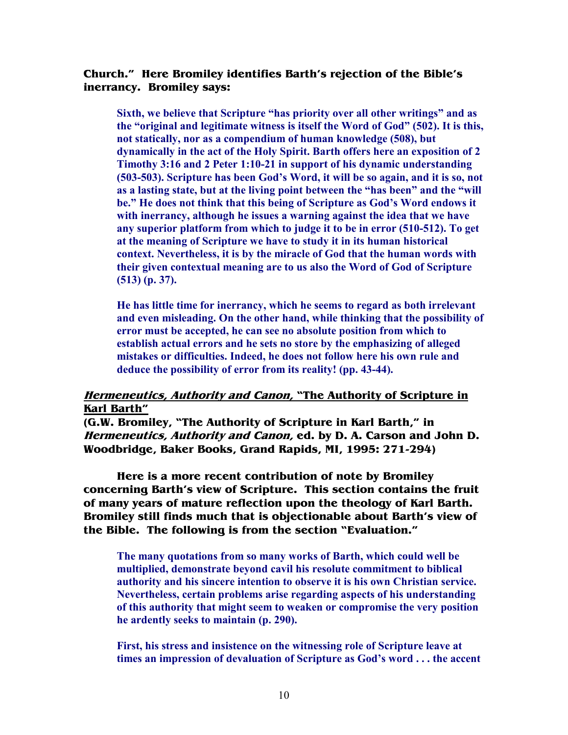#### **Church." Here Bromiley identifies Barth's rejection of the Bible's inerrancy. Bromiley says:**

**Sixth, we believe that Scripture "has priority over all other writings" and as the "original and legitimate witness is itself the Word of God" (502). It is this, not statically, nor as a compendium of human knowledge (508), but dynamically in the act of the Holy Spirit. Barth offers here an exposition of 2 Timothy 3:16 and 2 Peter 1:10-21 in support of his dynamic understanding (503-503). Scripture has been God's Word, it will be so again, and it is so, not as a lasting state, but at the living point between the "has been" and the "will be." He does not think that this being of Scripture as God's Word endows it with inerrancy, although he issues a warning against the idea that we have any superior platform from which to judge it to be in error (510-512). To get at the meaning of Scripture we have to study it in its human historical context. 1evertheless, it is by the miracle of God that the human words with their given contextual meaning are to us also the Word of God of Scripture (513) (p. 37).** 

 **He has little time for inerrancy, which he seems to regard as both irrelevant and even misleading. On the other hand, while thinking that the possibility of error must be accepted, he can see no absolute position from which to establish actual errors and he sets no store by the emphasizing of alleged mistakes or difficulties. Indeed, he does not follow here his own rule and deduce the possibility of error from its reality! (pp. 43-44).**

#### **Hermeneutics, Authority and Canon, "The Authority of Scripture in Karl Barth"**

**(G.W. Bromiley, "The Authority of Scripture in Karl Barth," in Hermeneutics, Authority and Canon, ed. by D. A. Carson and John D. Woodbridge, Baker Books, Grand Rapids, MI, 1995: 271-294)** 

**Here is a more recent contribution of note by Bromiley concerning Barth's view of Scripture. This section contains the fruit of many years of mature reflection upon the theology of Karl Barth. Bromiley still finds much that is objectionable about Barth's view of the Bible. The following is from the section "Evaluation."**

**The many quotations from so many works of Barth, which could well be multiplied, demonstrate beyond cavil his resolute commitment to biblical authority and his sincere intention to observe it is his own Christian service. 1evertheless, certain problems arise regarding aspects of his understanding of this authority that might seem to weaken or compromise the very position he ardently seeks to maintain (p. 290).** 

**First, his stress and insistence on the witnessing role of Scripture leave at times an impression of devaluation of Scripture as God's word . . . the accent**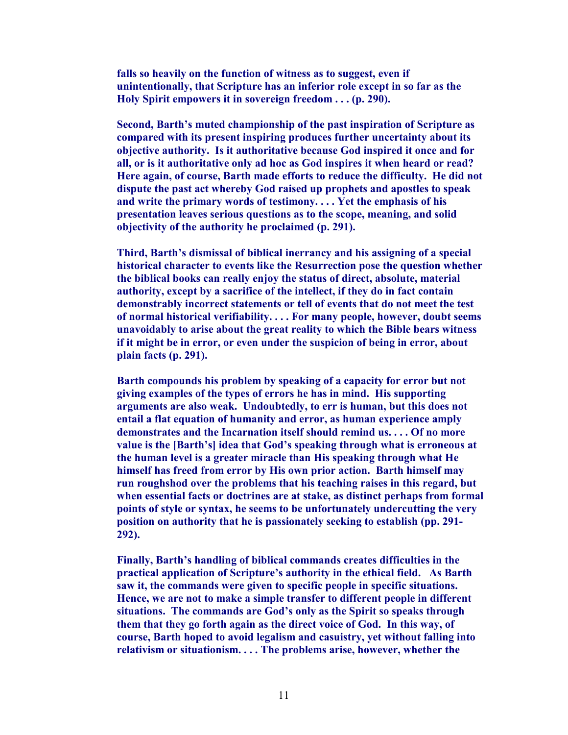**falls so heavily on the function of witness as to suggest, even if unintentionally, that Scripture has an inferior role except in so far as the Holy Spirit empowers it in sovereign freedom . . . (p. 290).** 

**Second, Barth's muted championship of the past inspiration of Scripture as compared with its present inspiring produces further uncertainty about its objective authority. Is it authoritative because God inspired it once and for all, or is it authoritative only ad hoc as God inspires it when heard or read? Here again, of course, Barth made efforts to reduce the difficulty. He did not dispute the past act whereby God raised up prophets and apostles to speak and write the primary words of testimony. . . . Yet the emphasis of his presentation leaves serious questions as to the scope, meaning, and solid objectivity of the authority he proclaimed (p. 291).** 

**Third, Barth's dismissal of biblical inerrancy and his assigning of a special historical character to events like the Resurrection pose the question whether the biblical books can really enjoy the status of direct, absolute, material authority, except by a sacrifice of the intellect, if they do in fact contain demonstrably incorrect statements or tell of events that do not meet the test of normal historical verifiability. . . . For many people, however, doubt seems unavoidably to arise about the great reality to which the Bible bears witness if it might be in error, or even under the suspicion of being in error, about plain facts (p. 291).** 

**Barth compounds his problem by speaking of a capacity for error but not giving examples of the types of errors he has in mind. His supporting arguments are also weak. Undoubtedly, to err is human, but this does not entail a flat equation of humanity and error, as human experience amply demonstrates and the Incarnation itself should remind us. . . . Of no more value is the [Barth's] idea that God's speaking through what is erroneous at the human level is a greater miracle than His speaking through what He himself has freed from error by His own prior action. Barth himself may run roughshod over the problems that his teaching raises in this regard, but when essential facts or doctrines are at stake, as distinct perhaps from formal points of style or syntax, he seems to be unfortunately undercutting the very position on authority that he is passionately seeking to establish (pp. 291- 292).** 

**Finally, Barth's handling of biblical commands creates difficulties in the practical application of Scripture's authority in the ethical field. As Barth saw it, the commands were given to specific people in specific situations. Hence, we are not to make a simple transfer to different people in different situations. The commands are God's only as the Spirit so speaks through them that they go forth again as the direct voice of God. In this way, of course, Barth hoped to avoid legalism and casuistry, yet without falling into relativism or situationism. . . . The problems arise, however, whether the**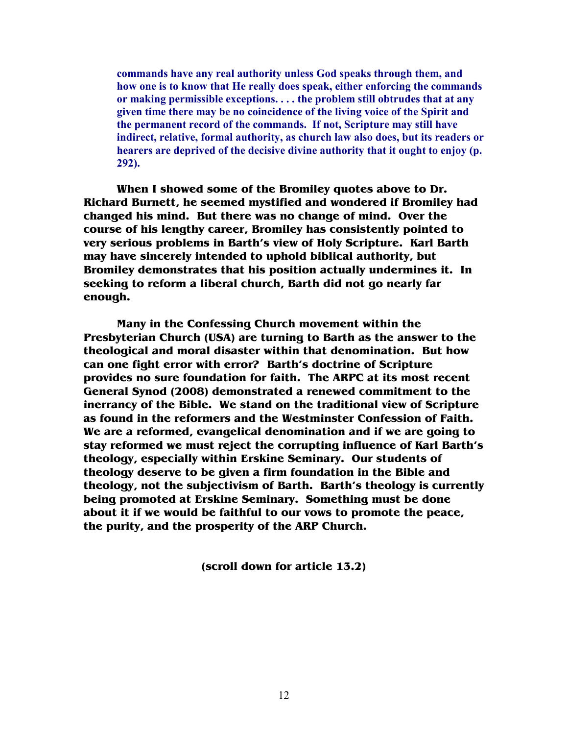**commands have any real authority unless God speaks through them, and how one is to know that He really does speak, either enforcing the commands or making permissible exceptions. . . . the problem still obtrudes that at any given time there may be no coincidence of the living voice of the Spirit and the permanent record of the commands. If not, Scripture may still have indirect, relative, formal authority, as church law also does, but its readers or hearers are deprived of the decisive divine authority that it ought to enjoy (p. 292).** 

**When I showed some of the Bromiley quotes above to Dr. Richard Burnett, he seemed mystified and wondered if Bromiley had changed his mind. But there was no change of mind. Over the course of his lengthy career, Bromiley has consistently pointed to very serious problems in Barth's view of Holy Scripture. Karl Barth may have sincerely intended to uphold biblical authority, but Bromiley demonstrates that his position actually undermines it. In seeking to reform a liberal church, Barth did not go nearly far enough.** 

**Many in the Confessing Church movement within the Presbyterian Church (USA) are turning to Barth as the answer to the theological and moral disaster within that denomination. But how can one fight error with error? Barth's doctrine of Scripture provides no sure foundation for faith. The ARPC at its most recent General Synod (2008) demonstrated a renewed commitment to the inerrancy of the Bible. We stand on the traditional view of Scripture as found in the reformers and the Westminster Confession of Faith. We are a reformed, evangelical denomination and if we are going to stay reformed we must reject the corrupting influence of Karl Barth's theology, especially within Erskine Seminary. Our students of theology deserve to be given a firm foundation in the Bible and theology, not the subjectivism of Barth. Barth's theology is currently being promoted at Erskine Seminary. Something must be done about it if we would be faithful to our vows to promote the peace, the purity, and the prosperity of the ARP Church.** 

**(scroll down for article 13.2)**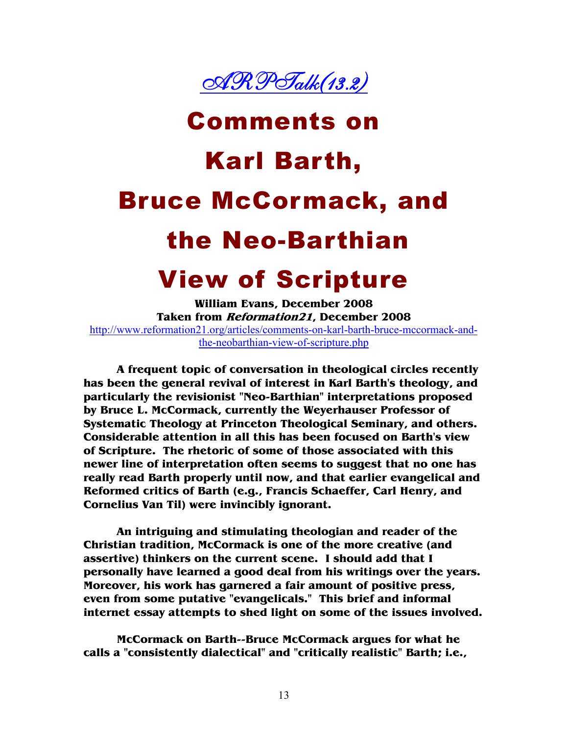

# Comments on Karl Barth, Bruce McCormack, and the Neo-Barthian View of Scripture

**William Evans, December 2008 Taken from Reformation21, December 2008**  http://www.reformation21.org/articles/comments-on-karl-barth-bruce-mccormack-andthe-neobarthian-view-of-scripture.php

**A frequent topic of conversation in theological circles recently has been the general revival of interest in Karl Barth's theology, and particularly the revisionist "Neo-Barthian" interpretations proposed by Bruce L. McCormack, currently the Weyerhauser Professor of Systematic Theology at Princeton Theological Seminary, and others. Considerable attention in all this has been focused on Barth's view of Scripture. The rhetoric of some of those associated with this newer line of interpretation often seems to suggest that no one has really read Barth properly until now, and that earlier evangelical and Reformed critics of Barth (e.g., Francis Schaeffer, Carl Henry, and Cornelius Van Til) were invincibly ignorant.** 

**An intriguing and stimulating theologian and reader of the Christian tradition, McCormack is one of the more creative (and assertive) thinkers on the current scene. I should add that I personally have learned a good deal from his writings over the years. Moreover, his work has garnered a fair amount of positive press, even from some putative "evangelicals." This brief and informal internet essay attempts to shed light on some of the issues involved.** 

**McCormack on Barth--Bruce McCormack argues for what he calls a "consistently dialectical" and "critically realistic" Barth; i.e.,**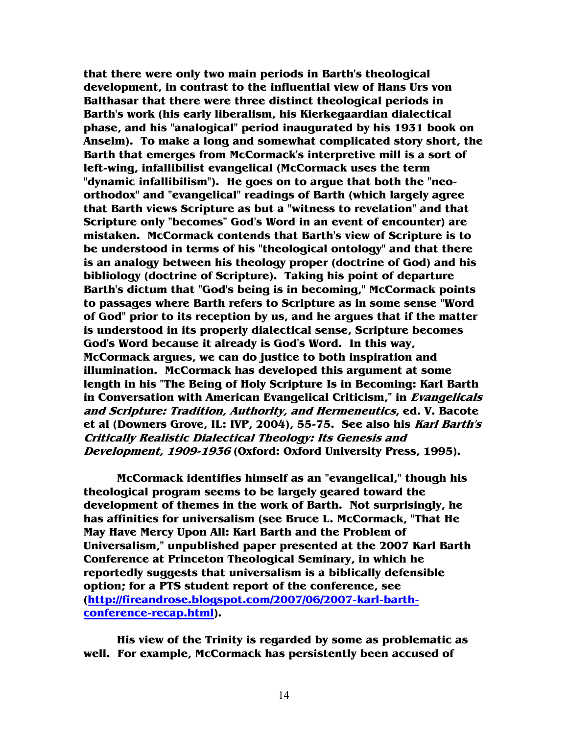**that there were only two main periods in Barth's theological development, in contrast to the influential view of Hans Urs von Balthasar that there were three distinct theological periods in Barth's work (his early liberalism, his Kierkegaardian dialectical phase, and his "analogical" period inaugurated by his 1931 book on Anselm). To make a long and somewhat complicated story short, the Barth that emerges from McCormack's interpretive mill is a sort of left-wing, infallibilist evangelical (McCormack uses the term "dynamic infallibilism"). He goes on to argue that both the "neoorthodox" and "evangelical" readings of Barth (which largely agree that Barth views Scripture as but a "witness to revelation" and that Scripture only "becomes" God's Word in an event of encounter) are mistaken. McCormack contends that Barth's view of Scripture is to be understood in terms of his "theological ontology" and that there is an analogy between his theology proper (doctrine of God) and his bibliology (doctrine of Scripture). Taking his point of departure Barth's dictum that "God's being is in becoming," McCormack points to passages where Barth refers to Scripture as in some sense "Word of God" prior to its reception by us, and he argues that if the matter is understood in its properly dialectical sense, Scripture becomes God's Word because it already is God's Word. In this way, McCormack argues, we can do justice to both inspiration and illumination. McCormack has developed this argument at some length in his "The Being of Holy Scripture Is in Becoming: Karl Barth in Conversation with American Evangelical Criticism," in Evangelicals and Scripture: Tradition, Authority, and Hermeneutics, ed. V. Bacote et al (Downers Grove, IL: IVP, 2004), 55-75. See also his Karl Barth's Critically Realistic Dialectical Theology: Its Genesis and Development, 1909-1936 (Oxford: Oxford University Press, 1995).** 

**McCormack identifies himself as an "evangelical," though his theological program seems to be largely geared toward the development of themes in the work of Barth. Not surprisingly, he has affinities for universalism (see Bruce L. McCormack, "That He May Have Mercy Upon All: Karl Barth and the Problem of Universalism," unpublished paper presented at the 2007 Karl Barth Conference at Princeton Theological Seminary, in which he reportedly suggests that universalism is a biblically defensible option; for a PTS student report of the conference, see (http://fireandrose.blogspot.com/2007/06/2007-karl-barthconference-recap.html).** 

**His view of the Trinity is regarded by some as problematic as well. For example, McCormack has persistently been accused of**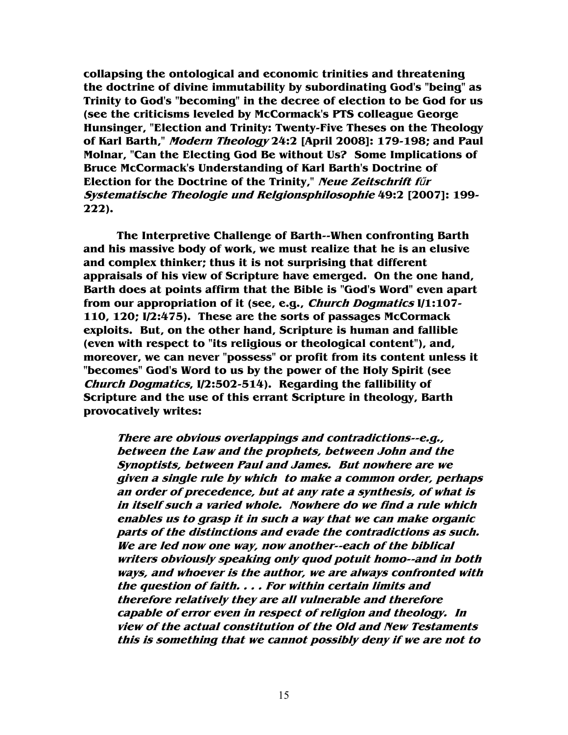**collapsing the ontological and economic trinities and threatening the doctrine of divine immutability by subordinating God's "being" as Trinity to God's "becoming" in the decree of election to be God for us (see the criticisms leveled by McCormack's PTS colleague George Hunsinger, "Election and Trinity: Twenty-Five Theses on the Theology of Karl Barth," Modern Theology 24:2 [April 2008]: 179-198; and Paul Molnar, "Can the Electing God Be without Us? Some Implications of Bruce McCormack's Understanding of Karl Barth's Doctrine of Election for the Doctrine of the Trinity," Neue Zeitschrift f**ű**<sup>r</sup> Systematische Theologie und Relgionsphilosophie 49:2 [2007]: 199- 222).** 

**The Interpretive Challenge of Barth--When confronting Barth and his massive body of work, we must realize that he is an elusive and complex thinker; thus it is not surprising that different appraisals of his view of Scripture have emerged. On the one hand, Barth does at points affirm that the Bible is "God's Word" even apart from our appropriation of it (see, e.g., Church Dogmatics I/1:107- 110, 120; I/2:475). These are the sorts of passages McCormack exploits. But, on the other hand, Scripture is human and fallible (even with respect to "its religious or theological content"), and, moreover, we can never "possess" or profit from its content unless it "becomes" God's Word to us by the power of the Holy Spirit (see Church Dogmatics, I/2:502-514). Regarding the fallibility of Scripture and the use of this errant Scripture in theology, Barth provocatively writes:** 

**There are obvious overlappings and contradictions--e.g., between the Law and the prophets, between John and the Synoptists, between Paul and James. But nowhere are we given a single rule by which to make a common order, perhaps an order of precedence, but at any rate a synthesis, of what is in itself such a varied whole. Nowhere do we find a rule which enables us to grasp it in such a way that we can make organic parts of the distinctions and evade the contradictions as such. We are led now one way, now another--each of the biblical writers obviously speaking only quod potuit homo--and in both ways, and whoever is the author, we are always confronted with the question of faith. . . . For within certain limits and therefore relatively they are all vulnerable and therefore capable of error even in respect of religion and theology. In view of the actual constitution of the Old and New Testaments this is something that we cannot possibly deny if we are not to**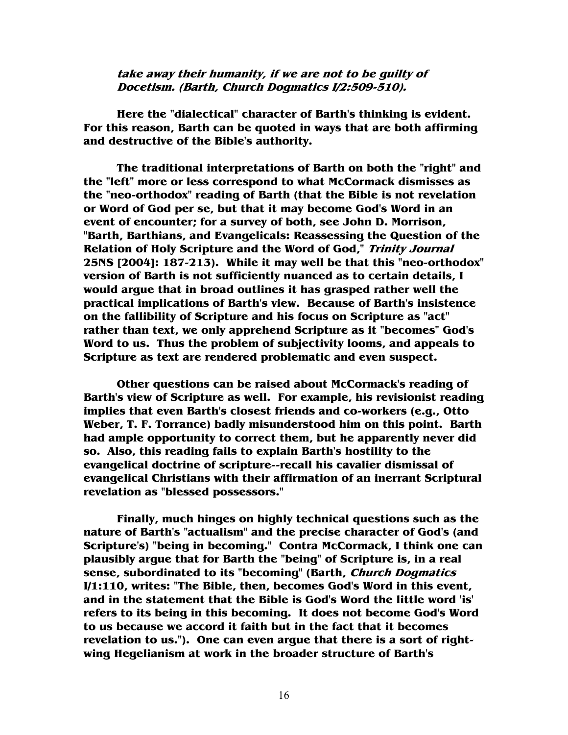**take away their humanity, if we are not to be guilty of Docetism. (Barth, Church Dogmatics I/2:509-510).** 

**Here the "dialectical" character of Barth's thinking is evident. For this reason, Barth can be quoted in ways that are both affirming and destructive of the Bible's authority.** 

**The traditional interpretations of Barth on both the "right" and the "left" more or less correspond to what McCormack dismisses as the "neo-orthodox" reading of Barth (that the Bible is not revelation or Word of God per se, but that it may become God's Word in an event of encounter; for a survey of both, see John D. Morrison, "Barth, Barthians, and Evangelicals: Reassessing the Question of the Relation of Holy Scripture and the Word of God," Trinity Journal 25NS [2004]: 187-213). While it may well be that this "neo-orthodox" version of Barth is not sufficiently nuanced as to certain details, I would argue that in broad outlines it has grasped rather well the practical implications of Barth's view. Because of Barth's insistence on the fallibility of Scripture and his focus on Scripture as "act" rather than text, we only apprehend Scripture as it "becomes" God's Word to us. Thus the problem of subjectivity looms, and appeals to Scripture as text are rendered problematic and even suspect.** 

**Other questions can be raised about McCormack's reading of Barth's view of Scripture as well. For example, his revisionist reading implies that even Barth's closest friends and co-workers (e.g., Otto Weber, T. F. Torrance) badly misunderstood him on this point. Barth had ample opportunity to correct them, but he apparently never did so. Also, this reading fails to explain Barth's hostility to the evangelical doctrine of scripture--recall his cavalier dismissal of evangelical Christians with their affirmation of an inerrant Scriptural revelation as "blessed possessors."** 

**Finally, much hinges on highly technical questions such as the nature of Barth's "actualism" and the precise character of God's (and Scripture's) "being in becoming." Contra McCormack, I think one can plausibly argue that for Barth the "being" of Scripture is, in a real sense, subordinated to its "becoming" (Barth, Church Dogmatics I/1:110, writes: "The Bible, then, becomes God's Word in this event, and in the statement that the Bible is God's Word the little word 'is' refers to its being in this becoming. It does not become God's Word to us because we accord it faith but in the fact that it becomes revelation to us."). One can even argue that there is a sort of rightwing Hegelianism at work in the broader structure of Barth's**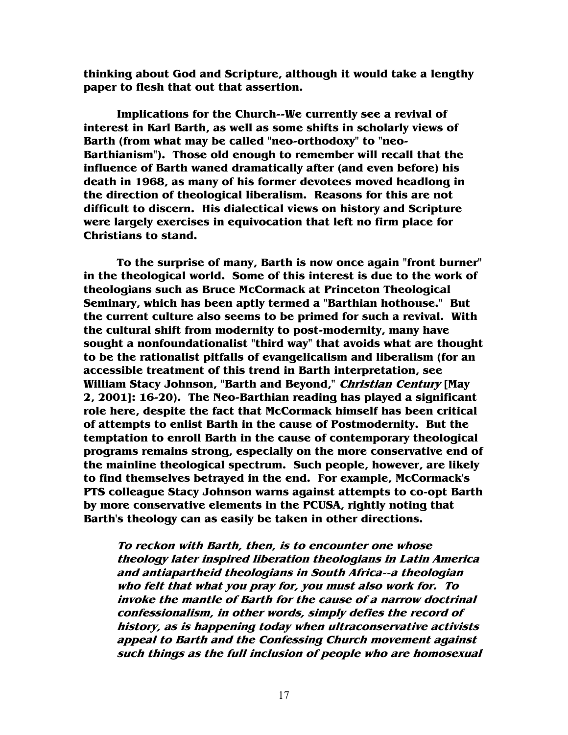**thinking about God and Scripture, although it would take a lengthy paper to flesh that out that assertion.** 

**Implications for the Church--We currently see a revival of interest in Karl Barth, as well as some shifts in scholarly views of Barth (from what may be called "neo-orthodoxy" to "neo-Barthianism"). Those old enough to remember will recall that the influence of Barth waned dramatically after (and even before) his death in 1968, as many of his former devotees moved headlong in the direction of theological liberalism. Reasons for this are not difficult to discern. His dialectical views on history and Scripture were largely exercises in equivocation that left no firm place for Christians to stand.** 

**To the surprise of many, Barth is now once again "front burner" in the theological world. Some of this interest is due to the work of theologians such as Bruce McCormack at Princeton Theological Seminary, which has been aptly termed a "Barthian hothouse." But the current culture also seems to be primed for such a revival. With the cultural shift from modernity to post-modernity, many have sought a nonfoundationalist "third way" that avoids what are thought to be the rationalist pitfalls of evangelicalism and liberalism (for an accessible treatment of this trend in Barth interpretation, see William Stacy Johnson, "Barth and Beyond," Christian Century [May 2, 2001]: 16-20). The Neo-Barthian reading has played a significant role here, despite the fact that McCormack himself has been critical of attempts to enlist Barth in the cause of Postmodernity. But the temptation to enroll Barth in the cause of contemporary theological programs remains strong, especially on the more conservative end of the mainline theological spectrum. Such people, however, are likely to find themselves betrayed in the end. For example, McCormack's PTS colleague Stacy Johnson warns against attempts to co-opt Barth by more conservative elements in the PCUSA, rightly noting that Barth's theology can as easily be taken in other directions.** 

**To reckon with Barth, then, is to encounter one whose theology later inspired liberation theologians in Latin America and antiapartheid theologians in South Africa--a theologian who felt that what you pray for, you must also work for. To invoke the mantle of Barth for the cause of a narrow doctrinal confessionalism, in other words, simply defies the record of history, as is happening today when ultraconservative activists appeal to Barth and the Confessing Church movement against such things as the full inclusion of people who are homosexual**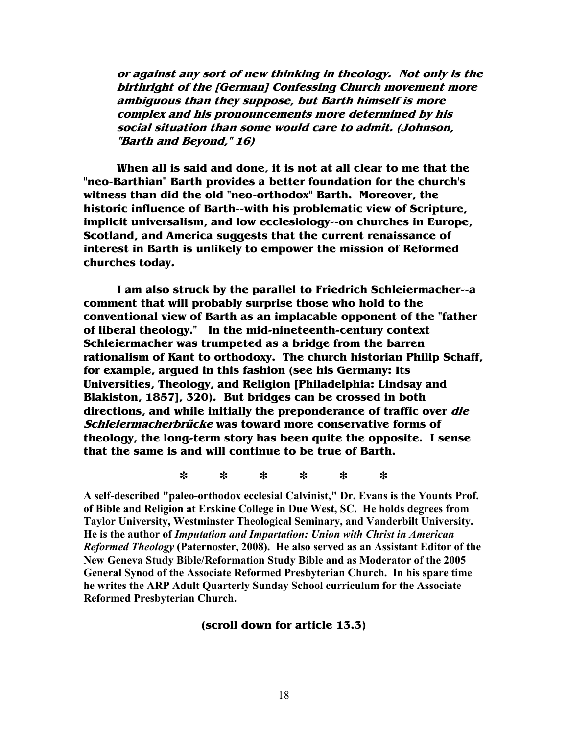**or against any sort of new thinking in theology. Not only is the birthright of the [German] Confessing Church movement more ambiguous than they suppose, but Barth himself is more complex and his pronouncements more determined by his social situation than some would care to admit. (Johnson, "Barth and Beyond," 16)** 

**When all is said and done, it is not at all clear to me that the "neo-Barthian" Barth provides a better foundation for the church's witness than did the old "neo-orthodox" Barth. Moreover, the historic influence of Barth--with his problematic view of Scripture, implicit universalism, and low ecclesiology--on churches in Europe, Scotland, and America suggests that the current renaissance of interest in Barth is unlikely to empower the mission of Reformed churches today.** 

**I am also struck by the parallel to Friedrich Schleiermacher--a comment that will probably surprise those who hold to the conventional view of Barth as an implacable opponent of the "father of liberal theology." In the mid-nineteenth-century context Schleiermacher was trumpeted as a bridge from the barren rationalism of Kant to orthodoxy. The church historian Philip Schaff, for example, argued in this fashion (see his Germany: Its Universities, Theology, and Religion [Philadelphia: Lindsay and Blakiston, 1857], 320). But bridges can be crossed in both directions, and while initially the preponderance of traffic over die Schleiermacherbrücke was toward more conservative forms of theology, the long-term story has been quite the opposite. I sense that the same is and will continue to be true of Barth.** 

**\* \* \* \* \* \*** 

**A self-described "paleo-orthodox ecclesial Calvinist," Dr. Evans is the Younts Prof. of Bible and Religion at Erskine College in Due West, SC. He holds degrees from Taylor University, Westminster Theological Seminary, and Vanderbilt University. He is the author of** *Imputation and Impartation: Union with Christ in American Reformed Theology* **(Paternoster, 2008). He also served as an Assistant Editor of the 1ew Geneva Study Bible/Reformation Study Bible and as Moderator of the 2005 General Synod of the Associate Reformed Presbyterian Church. In his spare time he writes the ARP Adult Quarterly Sunday School curriculum for the Associate Reformed Presbyterian Church.** 

#### **(scroll down for article 13.3)**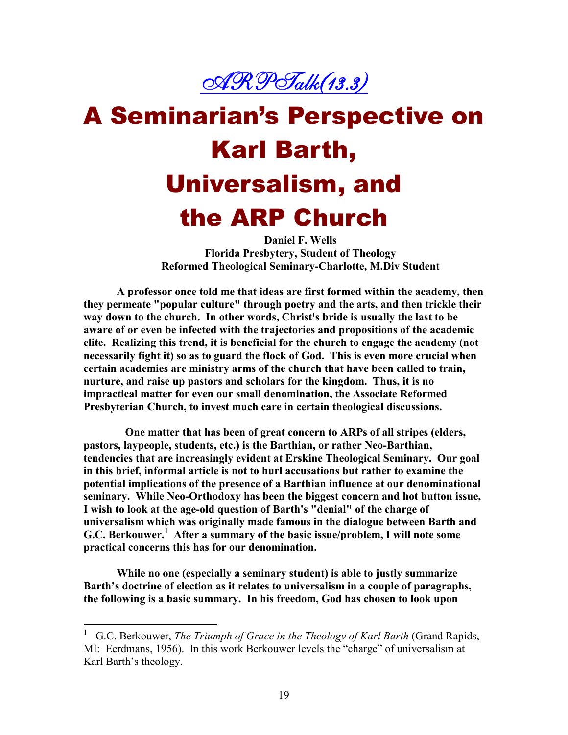

# A Seminarian's Perspective on Karl Barth, Universalism, and the ARP Church

**Daniel F. Wells Florida Presbytery, Student of Theology Reformed Theological Seminary-Charlotte, M.Div Student** 

**A professor once told me that ideas are first formed within the academy, then they permeate "popular culture" through poetry and the arts, and then trickle their way down to the church. In other words, Christ's bride is usually the last to be aware of or even be infected with the trajectories and propositions of the academic elite. Realizing this trend, it is beneficial for the church to engage the academy (not necessarily fight it) so as to guard the flock of God. This is even more crucial when certain academies are ministry arms of the church that have been called to train, nurture, and raise up pastors and scholars for the kingdom. Thus, it is no impractical matter for even our small denomination, the Associate Reformed Presbyterian Church, to invest much care in certain theological discussions.** 

 **One matter that has been of great concern to ARPs of all stripes (elders,**  pastors, laypeople, students, etc.) is the Barthian, or rather Neo-Barthian, **tendencies that are increasingly evident at Erskine Theological Seminary. Our goal in this brief, informal article is not to hurl accusations but rather to examine the potential implications of the presence of a Barthian influence at our denominational seminary.** While Neo-Orthodoxy has been the biggest concern and hot button issue, **I wish to look at the age-old question of Barth's "denial" of the charge of universalism which was originally made famous in the dialogue between Barth and G.C. Berkouwer.<sup>1</sup> After a summary of the basic issue/problem, I will note some practical concerns this has for our denomination.** 

 **While no one (especially a seminary student) is able to justly summarize Barth's doctrine of election as it relates to universalism in a couple of paragraphs, the following is a basic summary. In his freedom, God has chosen to look upon** 

 1 G.C. Berkouwer, *The Triumph of Grace in the Theology of Karl Barth* (Grand Rapids, MI: Eerdmans, 1956). In this work Berkouwer levels the "charge" of universalism at Karl Barth's theology.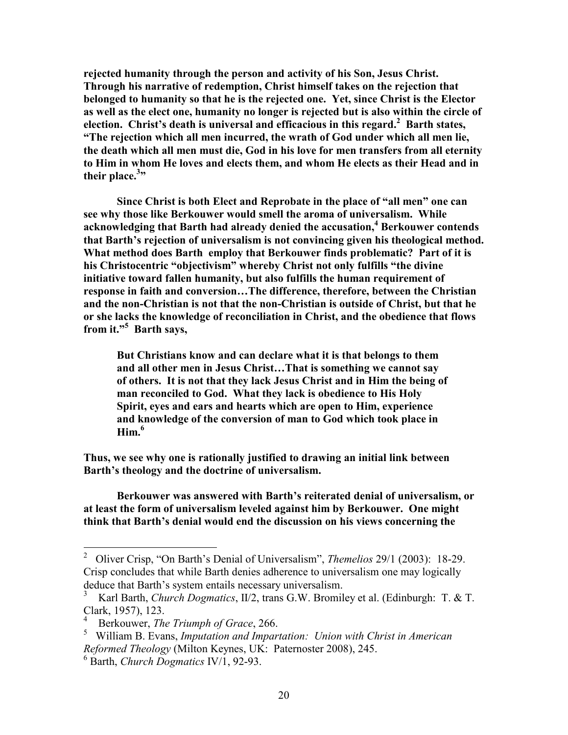**rejected humanity through the person and activity of his Son, Jesus Christ. Through his narrative of redemption, Christ himself takes on the rejection that belonged to humanity so that he is the rejected one. Yet, since Christ is the Elector as well as the elect one, humanity no longer is rejected but is also within the circle of election. Christ's death is universal and efficacious in this regard.<sup>2</sup> Barth states, "The rejection which all men incurred, the wrath of God under which all men lie, the death which all men must die, God in his love for men transfers from all eternity to Him in whom He loves and elects them, and whom He elects as their Head and in their place.<sup>3</sup> "** 

 **Since Christ is both Elect and Reprobate in the place of "all men" one can see why those like Berkouwer would smell the aroma of universalism. While acknowledging that Barth had already denied the accusation,<sup>4</sup> Berkouwer contends that Barth's rejection of universalism is not convincing given his theological method. What method does Barth employ that Berkouwer finds problematic? Part of it is his Christocentric "objectivism" whereby Christ not only fulfills "the divine initiative toward fallen humanity, but also fulfills the human requirement of response in faith and conversion…The difference, therefore, between the Christian and the non-Christian is not that the non-Christian is outside of Christ, but that he or she lacks the knowledge of reconciliation in Christ, and the obedience that flows from it."<sup>5</sup> Barth says,** 

 **But Christians know and can declare what it is that belongs to them and all other men in Jesus Christ…That is something we cannot say of others. It is not that they lack Jesus Christ and in Him the being of man reconciled to God. What they lack is obedience to His Holy Spirit, eyes and ears and hearts which are open to Him, experience and knowledge of the conversion of man to God which took place in Him.<sup>6</sup>**

**Thus, we see why one is rationally justified to drawing an initial link between Barth's theology and the doctrine of universalism.** 

 **Berkouwer was answered with Barth's reiterated denial of universalism, or at least the form of universalism leveled against him by Berkouwer. One might think that Barth's denial would end the discussion on his views concerning the** 

 $\frac{1}{2}$  Oliver Crisp, "On Barth's Denial of Universalism", *Themelios* 29/1 (2003): 18-29. Crisp concludes that while Barth denies adherence to universalism one may logically deduce that Barth's system entails necessary universalism.

<sup>3</sup> Karl Barth, *Church Dogmatics*, II/2, trans G.W. Bromiley et al. (Edinburgh: T. & T. Clark, 1957), 123.

<sup>4</sup> Berkouwer, *The Triumph of Grace*, 266.

<sup>5</sup> William B. Evans, *Imputation and Impartation: Union with Christ in American Reformed Theology* (Milton Keynes, UK: Paternoster 2008), 245.

<sup>6</sup> Barth, *Church Dogmatics* IV/1, 92-93.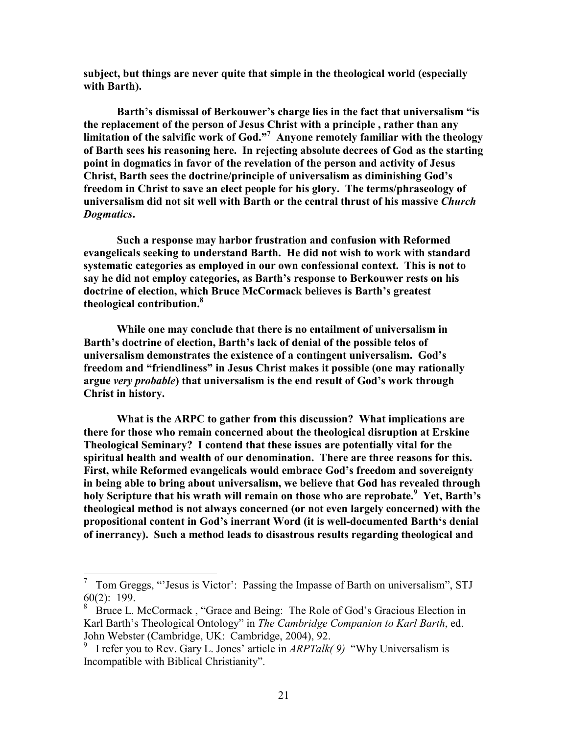**subject, but things are never quite that simple in the theological world (especially with Barth).** 

 **Barth's dismissal of Berkouwer's charge lies in the fact that universalism "is the replacement of the person of Jesus Christ with a principle , rather than any limitation of the salvific work of God."<sup>7</sup> Anyone remotely familiar with the theology of Barth sees his reasoning here. In rejecting absolute decrees of God as the starting point in dogmatics in favor of the revelation of the person and activity of Jesus Christ, Barth sees the doctrine/principle of universalism as diminishing God's freedom in Christ to save an elect people for his glory. The terms/phraseology of universalism did not sit well with Barth or the central thrust of his massive** *Church Dogmatics***.** 

**Such a response may harbor frustration and confusion with Reformed evangelicals seeking to understand Barth. He did not wish to work with standard systematic categories as employed in our own confessional context. This is not to say he did not employ categories, as Barth's response to Berkouwer rests on his doctrine of election, which Bruce McCormack believes is Barth's greatest theological contribution.<sup>8</sup>**

**While one may conclude that there is no entailment of universalism in Barth's doctrine of election, Barth's lack of denial of the possible telos of universalism demonstrates the existence of a contingent universalism. God's freedom and "friendliness" in Jesus Christ makes it possible (one may rationally argue** *very probable***) that universalism is the end result of God's work through Christ in history.** 

**What is the ARPC to gather from this discussion? What implications are there for those who remain concerned about the theological disruption at Erskine Theological Seminary? I contend that these issues are potentially vital for the spiritual health and wealth of our denomination. There are three reasons for this. First, while Reformed evangelicals would embrace God's freedom and sovereignty in being able to bring about universalism, we believe that God has revealed through holy Scripture that his wrath will remain on those who are reprobate.<sup>9</sup> Yet, Barth's theological method is not always concerned (or not even largely concerned) with the propositional content in God's inerrant Word (it is well-documented Barth's denial of inerrancy). Such a method leads to disastrous results regarding theological and** 

<sup>&</sup>lt;sup>7</sup> Tom Greggs, "Jesus is Victor': Passing the Impasse of Barth on universalism", STJ 60(2): 199.

<sup>&</sup>lt;sup>8</sup> Bruce L. McCormack, "Grace and Being: The Role of God's Gracious Election in Karl Barth's Theological Ontology" in *The Cambridge Companion to Karl Barth*, ed. John Webster (Cambridge, UK: Cambridge, 2004), 92.

<sup>9</sup> I refer you to Rev. Gary L. Jones' article in *ARPTalk( 9)* "Why Universalism is Incompatible with Biblical Christianity".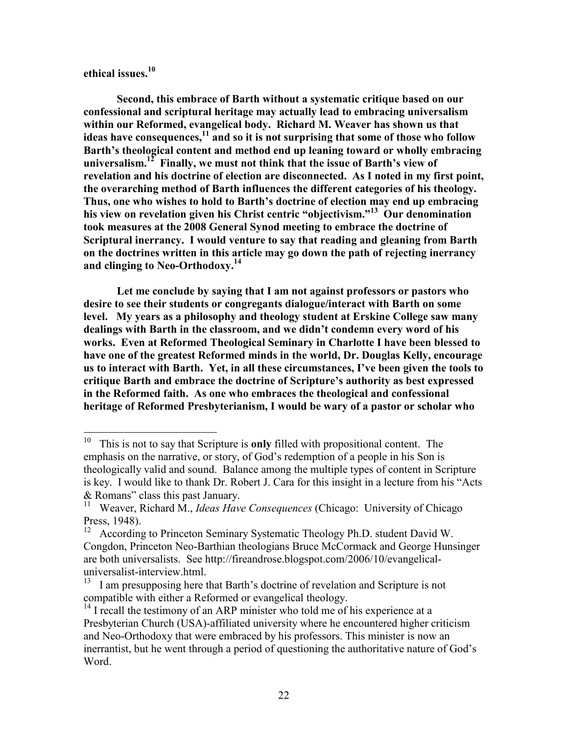**ethical issues.<sup>10</sup>**

**Second, this embrace of Barth without a systematic critique based on our confessional and scriptural heritage may actually lead to embracing universalism within our Reformed, evangelical body. Richard M. Weaver has shown us that**  ideas have consequences,<sup>11</sup> and so it is not surprising that some of those who follow **Barth's theological content and method end up leaning toward or wholly embracing universalism.<sup>12</sup> Finally, we must not think that the issue of Barth's view of revelation and his doctrine of election are disconnected. As I noted in my first point, the overarching method of Barth influences the different categories of his theology. Thus, one who wishes to hold to Barth's doctrine of election may end up embracing his view on revelation given his Christ centric "objectivism."<sup>13</sup> Our denomination took measures at the 2008 General Synod meeting to embrace the doctrine of Scriptural inerrancy. I would venture to say that reading and gleaning from Barth on the doctrines written in this article may go down the path of rejecting inerrancy**  and clinging to Neo-Orthodoxy.<sup>14</sup>

**Let me conclude by saying that I am not against professors or pastors who desire to see their students or congregants dialogue/interact with Barth on some level. My years as a philosophy and theology student at Erskine College saw many dealings with Barth in the classroom, and we didn't condemn every word of his works. Even at Reformed Theological Seminary in Charlotte I have been blessed to have one of the greatest Reformed minds in the world, Dr. Douglas Kelly, encourage us to interact with Barth. Yet, in all these circumstances, I've been given the tools to critique Barth and embrace the doctrine of Scripture's authority as best expressed in the Reformed faith. As one who embraces the theological and confessional heritage of Reformed Presbyterianism, I would be wary of a pastor or scholar who** 

 $10\,$ <sup>10</sup> This is not to say that Scripture is **only** filled with propositional content. The emphasis on the narrative, or story, of God's redemption of a people in his Son is theologically valid and sound. Balance among the multiple types of content in Scripture is key. I would like to thank Dr. Robert J. Cara for this insight in a lecture from his "Acts & Romans" class this past January.

<sup>&</sup>lt;sup>11</sup> Weaver, Richard M., *Ideas Have Consequences* (Chicago: University of Chicago Press, 1948).<br> $\frac{12}{\text{A} \cdot \text{cordine}}$ 

<sup>12</sup> According to Princeton Seminary Systematic Theology Ph.D. student David W. Congdon, Princeton Neo-Barthian theologians Bruce McCormack and George Hunsinger are both universalists. See http://fireandrose.blogspot.com/2006/10/evangelicaluniversalist-interview.html.

<sup>&</sup>lt;sup>13</sup> I am presupposing here that Barth's doctrine of revelation and Scripture is not compatible with either a Reformed or evangelical theology.

 $14$  I recall the testimony of an ARP minister who told me of his experience at a Presbyterian Church (USA)-affiliated university where he encountered higher criticism and Neo-Orthodoxy that were embraced by his professors. This minister is now an inerrantist, but he went through a period of questioning the authoritative nature of God's Word.